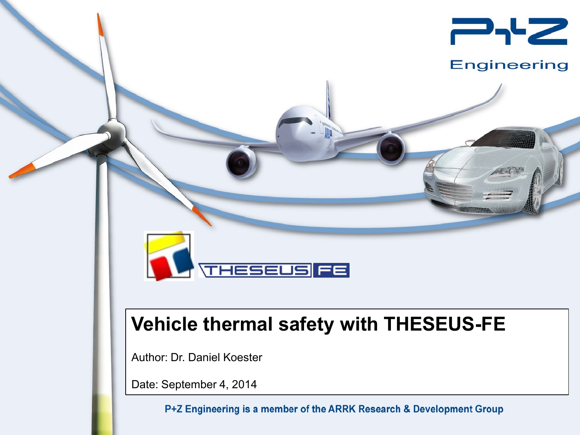

### **Engineering**

## **Vehicle thermal safety with THESEUS-FE**

**THESEUS FE** 

Author: Dr. Daniel Koester

Date: September 4, 2014

P+Z Engineering is a member of the ARRK Research & Development Group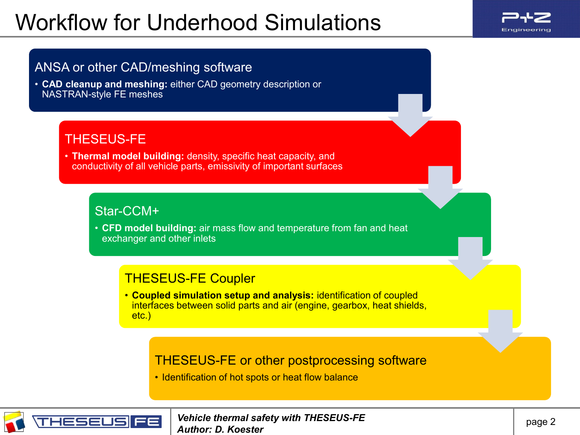## Workflow for Underhood Simulations



### ANSA or other CAD/meshing software

• **CAD cleanup and meshing:** either CAD geometry description or NASTRAN-style FE meshes

### THESEUS-FE

• **Thermal model building:** density, specific heat capacity, and conductivity of all vehicle parts, emissivity of important surfaces

### Star-CCM+

• **CFD model building:** air mass flow and temperature from fan and heat exchanger and other inlets

### THESEUS-FE Coupler

• **Coupled simulation setup and analysis:** identification of coupled interfaces between solid parts and air (engine, gearbox, heat shields, etc.)

### THESEUS-FE or other postprocessing software

• Identification of hot spots or heat flow balance

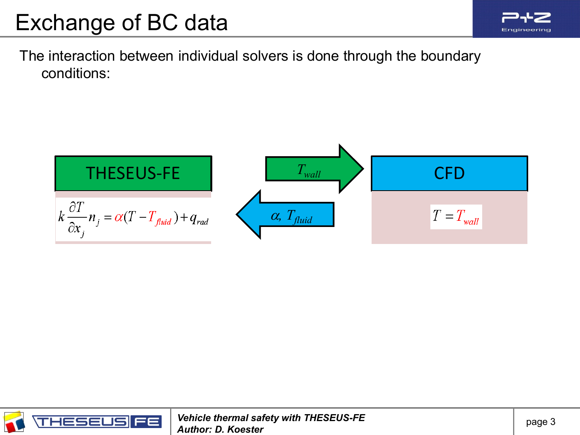

The interaction between individual solvers is done through the boundary conditions:



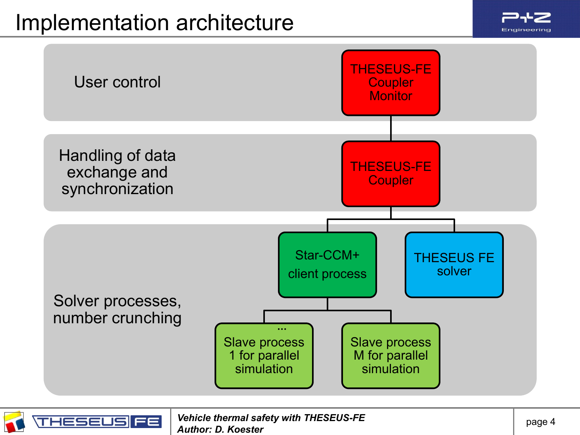

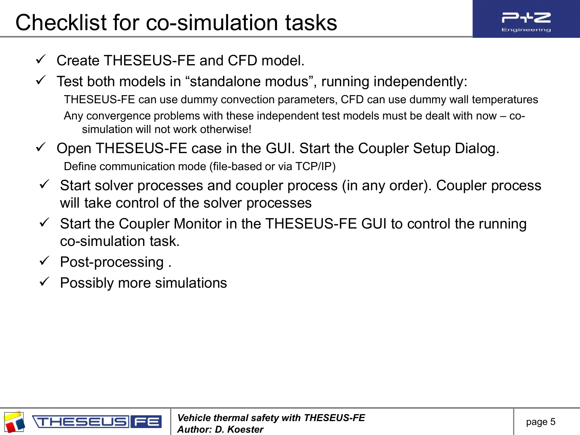

- $\checkmark$  Create THESEUS-FE and CFD model.
- $\checkmark$  Test both models in "standalone modus", running independently: THESEUS-FE can use dummy convection parameters, CFD can use dummy wall temperatures Any convergence problems with these independent test models must be dealt with now – cosimulation will not work otherwise!
- $\checkmark$  Open THESEUS-FE case in the GUI. Start the Coupler Setup Dialog. Define communication mode (file-based or via TCP/IP)
- $\checkmark$  Start solver processes and coupler process (in any order). Coupler process will take control of the solver processes
- $\checkmark$  Start the Coupler Monitor in the THESEUS-FE GUI to control the running co-simulation task.
- Post-processing .
- Possibly more simulations

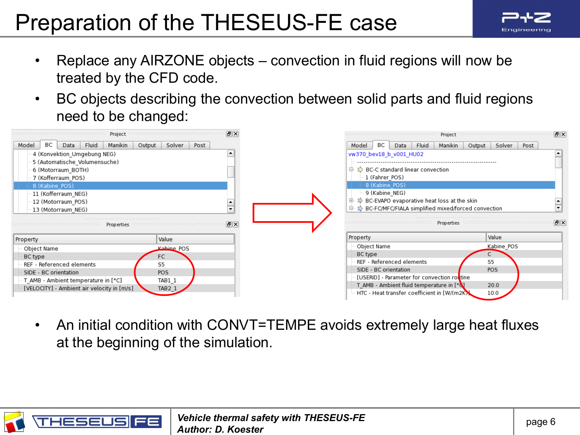# Preparation of the THESEUS-FE case



- Replace any AIRZONE objects convection in fluid regions will now be treated by the CFD code.
- BC objects describing the convection between solid parts and fluid regions need to be changed:

| Project                                                                             | 同図<br>statistica de la calendaria de la calendaria de la       | Project                                                                                               | 同区<br>teres estes estes estes estes estes estes estes estes estes estes |
|-------------------------------------------------------------------------------------|----------------------------------------------------------------|-------------------------------------------------------------------------------------------------------|-------------------------------------------------------------------------|
| Manikin<br>Model<br>BС<br>Fluid<br>Output<br>Data                                   | Solver<br>Post                                                 | Manikin<br>BC<br>Fluid<br>Model<br>Data                                                               | Output<br>Solver<br>Post                                                |
| 4 (Konvektion Umgebung NEG)                                                         |                                                                | vw370 bev18 b v001 HU02                                                                               |                                                                         |
| 5 (Automatische Volumensuche)                                                       |                                                                |                                                                                                       |                                                                         |
| 6 (Motorraum BOTH)                                                                  |                                                                | $\Sigma$ BC-C standard linear convection<br>g.                                                        |                                                                         |
| 7 (Kofferraum POS)                                                                  |                                                                | 1 (Fahrer POS)                                                                                        |                                                                         |
| 8 (Kabine POS)                                                                      |                                                                | 8 (Kabine POS)                                                                                        |                                                                         |
| 11 (Kofferraum NEG)                                                                 |                                                                | 9 (Kabine NEG)                                                                                        |                                                                         |
| 12 (Motorraum POS)                                                                  |                                                                | ♪ BC-EVAPO evaporative heat loss at the skin<br>⊕                                                     |                                                                         |
|                                                                                     |                                                                | <b>EXP</b> BC-FC/MFC/FIALA simplified mixed/forced convection<br>O.                                   |                                                                         |
| 13 (Motorraum NEG)                                                                  |                                                                |                                                                                                       |                                                                         |
|                                                                                     |                                                                |                                                                                                       |                                                                         |
|                                                                                     | 同风<br>Properties that and an anti-announcement and an analysis |                                                                                                       | - EIX<br>Properties to a concentration and concentration and            |
|                                                                                     | Value                                                          | Property                                                                                              | Value                                                                   |
| Property                                                                            | Kabine POS                                                     | Object Name                                                                                           | Kabine POS                                                              |
| Object Name                                                                         |                                                                | BC type                                                                                               |                                                                         |
| BC type<br>REF - Referenced elements                                                | FC<br>S5                                                       | REF - Referenced elements                                                                             | S5                                                                      |
| SIDE - BC orientation                                                               | POS                                                            | SIDE - BC orientation                                                                                 | POS                                                                     |
|                                                                                     | TAB1 1                                                         | [USERID] - Parameter for convection rottine                                                           |                                                                         |
| " T_AMB - Ambient temperature in [°C]<br>[VELOCITY] - Ambient air velocity in [m/s] | $TAB2_1$                                                       | T AMB - Ambient fluid temperature in [ <sup>o</sup> N]<br>HTC - Heat transfer coefficient in [W/(m2K) | 20.0<br>10.0                                                            |

• An initial condition with CONVT=TEMPE avoids extremely large heat fluxes at the beginning of the simulation.

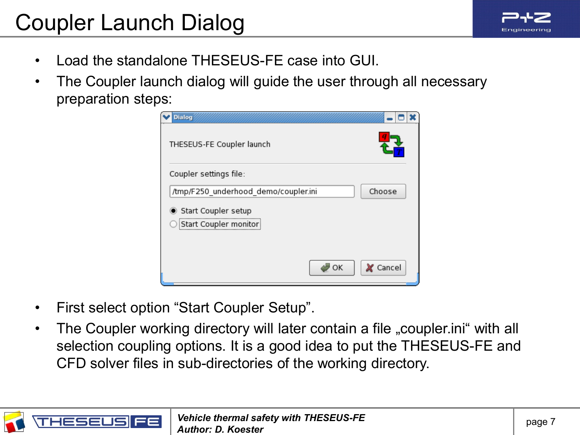## Coupler Launch Dialog

- Load the standalone THESEUS-FE case into GUI.
- The Coupler launch dialog will guide the user through all necessary preparation steps:



- First select option "Start Coupler Setup".
- The Coupler working directory will later contain a file "coupler.ini" with all selection coupling options. It is a good idea to put the THESEUS-FE and CFD solver files in sub-directories of the working directory.

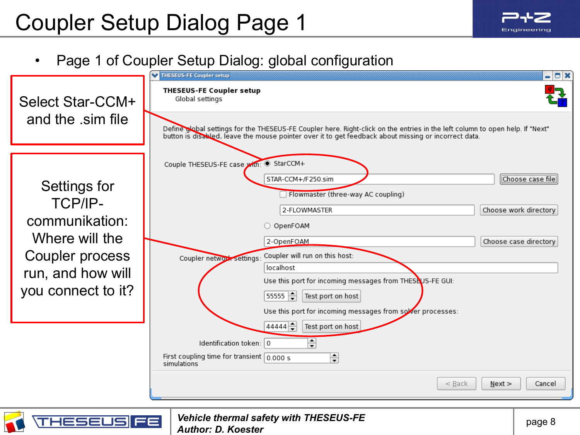**HESEUS** 

FE

## • Page 1 of Coupler Setup Dialog: global configuration

|                                                                                                                                  | $ \Box$ $\times$<br>THESEUS-FE Coupler setup                                                                                                                                                                                                                                                                                                                                                                                                                                                                                                                                                      |
|----------------------------------------------------------------------------------------------------------------------------------|---------------------------------------------------------------------------------------------------------------------------------------------------------------------------------------------------------------------------------------------------------------------------------------------------------------------------------------------------------------------------------------------------------------------------------------------------------------------------------------------------------------------------------------------------------------------------------------------------|
| Select Star-CCM+<br>and the sim file                                                                                             | <b>THESEUS-FE Coupler setup</b><br>Global settings                                                                                                                                                                                                                                                                                                                                                                                                                                                                                                                                                |
|                                                                                                                                  | Define global settings for the THESEUS-FE Coupler here. Right-click on the entries in the left column to open help. If "Next"<br>button is disabled, leave the mouse pointer over it to get feedback about missing or incorrect data.                                                                                                                                                                                                                                                                                                                                                             |
| Settings for<br><b>TCP/IP-</b><br>communikation:<br>Where will the<br>Coupler process<br>run, and how will<br>you connect to it? | Couple THESEUS-FE case with: StarCCM+<br>STAR-CCM+/F250.sim<br>Choose case file<br>Flowmaster (three-way AC coupling)<br>2-FLOWMASTER<br>Choose work directory<br>O OpenFOAM<br>Choose case directory<br>2-OpenFOAM<br>Coupler will run on this host:<br>Coupler network settings:<br>localhost<br>Use this port for incoming messages from THESEUS-FE GUI:<br>$55555 - 1$<br>Test port on host<br>Use this port for incoming messages from sover processes:<br>$44444 -$<br>Test port on host<br>€<br>Identification token: 0<br>First coupling time for transient $0.000 s$<br>€<br>simulations |
|                                                                                                                                  | $<$ Back<br>Next<br>Cancel                                                                                                                                                                                                                                                                                                                                                                                                                                                                                                                                                                        |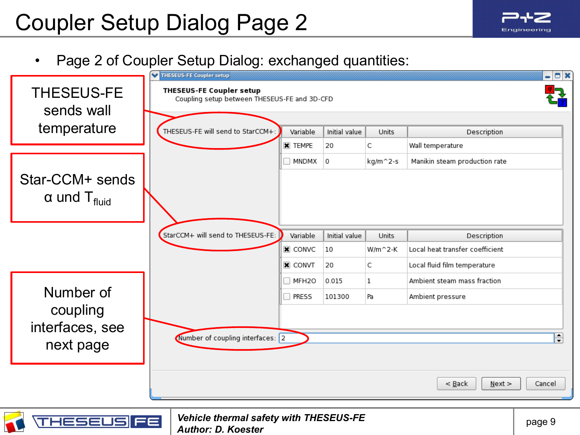≡≡

**HESEUS** 

## • Page 2 of Coupler Setup Dialog: exchanged quantities:

|                                 | THESEUS-FE Coupler setup                                                        |                   |                |                   |                                 | $ \Box$ $\times$ |
|---------------------------------|---------------------------------------------------------------------------------|-------------------|----------------|-------------------|---------------------------------|------------------|
| <b>THESEUS-FE</b><br>sends wall | <b>THESEUS-FE Coupler setup</b><br>Coupling setup between THESEUS-FE and 3D-CFD |                   |                |                   |                                 |                  |
| temperature                     | THESEUS-FE will send to StarCCM+:                                               | Variable          | Initial value  |                   |                                 |                  |
|                                 |                                                                                 | <b>X</b> TEMPE    | 20             | <b>Units</b><br>C | Description<br>Wall temperature |                  |
|                                 |                                                                                 |                   |                |                   |                                 |                  |
|                                 |                                                                                 | MNDMX             | $\overline{0}$ | kg/m^2-s          | Manikin steam production rate   |                  |
| Star-CCM+ sends                 |                                                                                 |                   |                |                   |                                 |                  |
| $\alpha$ und T <sub>fluid</sub> |                                                                                 |                   |                |                   |                                 |                  |
|                                 |                                                                                 |                   |                |                   |                                 |                  |
|                                 |                                                                                 |                   |                |                   |                                 |                  |
|                                 | StarCCM+ will send to THESEUS-FE:                                               | Variable          | Initial value  | Units             | Description                     |                  |
|                                 |                                                                                 | $\mathbf x$ convc | 10             | $W/m^2$ -K        | Local heat transfer coefficient |                  |
|                                 |                                                                                 | <b>X</b> CONVT    | 20             | C                 | Local fluid film temperature    |                  |
|                                 |                                                                                 | MFH <sub>20</sub> | 0.015          | $\mathbf{1}$      | Ambient steam mass fraction     |                  |
| Number of                       |                                                                                 | <b>PRESS</b>      | 101300         | Pa                | Ambient pressure                |                  |
| coupling                        |                                                                                 |                   |                |                   |                                 |                  |
| interfaces, see                 |                                                                                 |                   |                |                   |                                 |                  |
|                                 | Number of coupling interfaces: 2                                                |                   |                |                   |                                 | €                |
| next page                       |                                                                                 |                   |                |                   |                                 |                  |
|                                 |                                                                                 |                   |                |                   |                                 |                  |
|                                 |                                                                                 |                   |                |                   | $<$ Back<br>$N$ ext >           | Cancel           |
|                                 |                                                                                 |                   |                |                   |                                 |                  |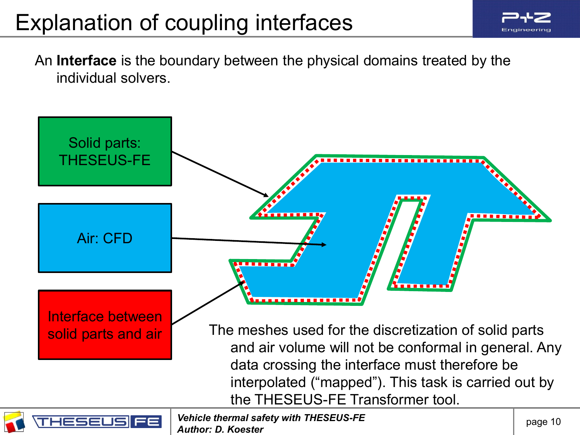## Explanation of coupling interfaces



An **Interface** is the boundary between the physical domains treated by the individual solvers.

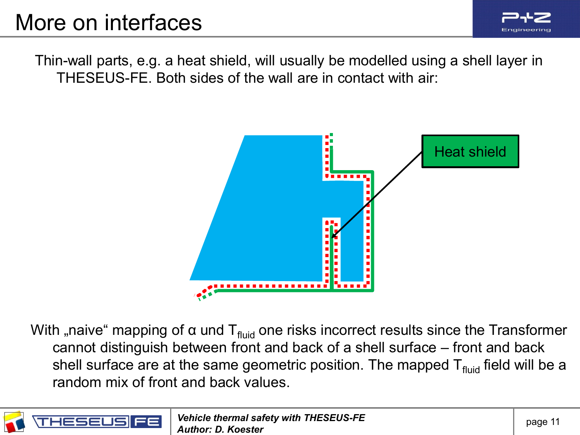

Thin-wall parts, e.g. a heat shield, will usually be modelled using a shell layer in THESEUS-FE. Both sides of the wall are in contact with air:



With "naive" mapping of  $\alpha$  und T<sub>fluid</sub> one risks incorrect results since the Transformer cannot distinguish between front and back of a shell surface – front and back shell surface are at the same geometric position. The mapped  $T_{fluid}$  field will be a random mix of front and back values.

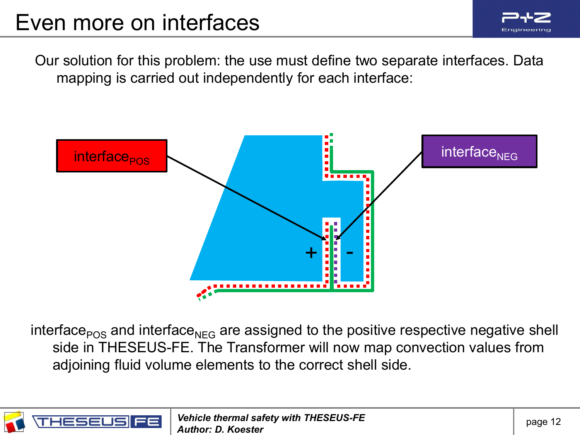

Our solution for this problem: the use must define two separate interfaces. Data mapping is carried out independently for each interface:



interface $_{POS}$  and interface<sub>NEG</sub> are assigned to the positive respective negative shell side in THESEUS-FE. The Transformer will now map convection values from adjoining fluid volume elements to the correct shell side.

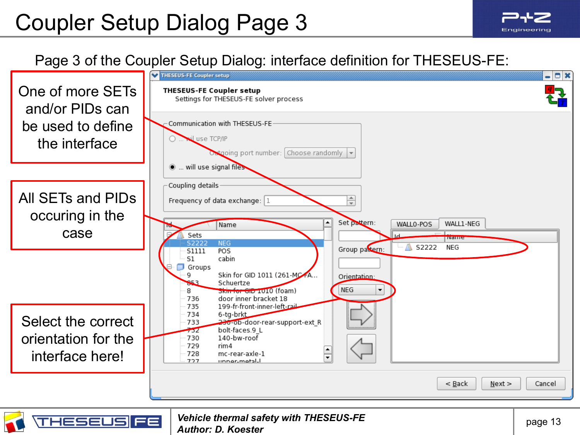

### Page 3 of the Coupler Setup Dialog: interface definition for THESEUS-FE:

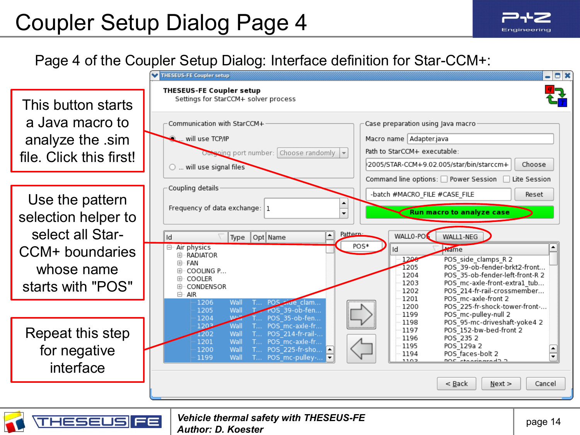## Page 4 of the Coupler Setup Dialog: Interface definition for Star-CCM+:

|                                                               | - 0 x<br><b>THESEUS-FE Coupler setup</b>                                                                                                                                                                                                                                                                                  |
|---------------------------------------------------------------|---------------------------------------------------------------------------------------------------------------------------------------------------------------------------------------------------------------------------------------------------------------------------------------------------------------------------|
| This button starts                                            | <b>THESEUS-FE Coupler setup</b><br>Settings for StarCCM+ solver process                                                                                                                                                                                                                                                   |
| a Java macro to<br>analyze the sim<br>file. Click this first! | Communication with StarCCM+<br>Case preparation using Java macro<br>Macro name Adapter.java<br>will use TCP/IP<br>Path to StarCCM+ executable:<br>Outsoing port number: Choose randomly v<br>2005/STAR-CCM+9.02.005/star/bin/starccm+<br>Choose<br>$\circlearrowright$ will use signal files                              |
| Use the pattern                                               | Command line options: □ Power Session<br>Lite Session<br>Coupling details<br>-batch #MACRO FILE #CASE FILE<br>Reset                                                                                                                                                                                                       |
| selection helper to<br>select all Star-                       | Frequency of data exchange: $ 1$<br>Run macro to analyze case<br>Pattern-<br>WALLO-PO<br>WALL1-NEG<br>Id<br>Type   Opt   Name                                                                                                                                                                                             |
| CCM+ boundaries<br>whose name<br>starts with "POS"            | POS*<br>Air physics<br>⊟-<br><b>Name</b><br>ld<br><b>E RADIATOR</b><br>1206<br>POS side clamps R 2<br>田· FAN<br>1205<br>POS 39-ob-fender-brkt2-front<br>COOLING P<br>POS 35-ob-fender-left-front-R 2<br>1204<br>⊕ COOLER<br>POS mc-axle-front-extra1 tub<br>1203<br>由 CONDENSOR<br>POS 214-fr-rail-crossmember<br>1202    |
|                                                               | <b>⊟</b> AIR<br>1201<br>POS mc-axle-front 2<br>1206<br>POS side clam<br>Wall<br>POS 225-fr-shock-tower-front-<br>1200<br>POS 39-ob-fen<br>Wall<br>1205<br>POS mc-pulley-null 2<br>1199<br>1204<br>Water<br>POS 35-ob-fen<br>POS 95-mc-driveshaft-yoke4 2<br>1198                                                          |
| Repeat this step<br>for negative<br>interface                 | 1203<br>Wall<br>POS mc-axle-fr<br>POS 152-bw-bed-front 2<br>1197<br>1202<br>Wall<br>POS 214-fr-rail-<br>1196<br>POS 235 2<br>1201<br>Wall<br>POS_mc-axle-fr<br>POS 129a 2<br>1195<br>1200<br>POS_225-fr-sho<br>Wall<br>1194<br>POS faces-bolt 2<br>≂<br>1199<br>Wall<br>POS_mc-pulley-<br>T<br>DOC etaprinaradO O<br>1102 |
|                                                               | $<$ Back<br>Next<br>Cancel                                                                                                                                                                                                                                                                                                |
|                                                               |                                                                                                                                                                                                                                                                                                                           |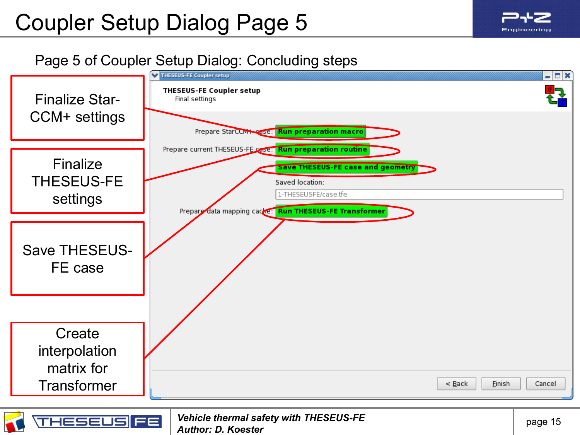## Page 5 of Coupler Setup Dialog: Concluding steps

*Author: D. Koester*